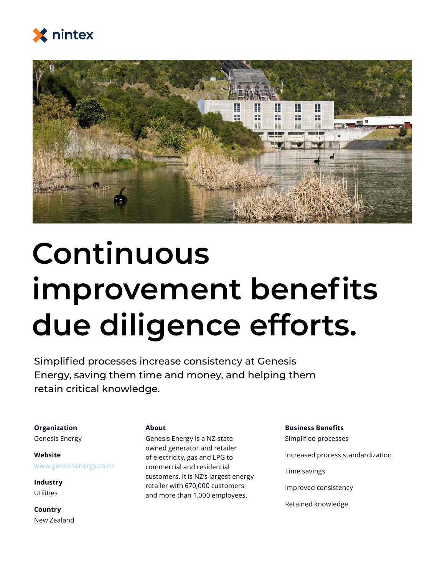



## **Continuous improvement benefits due diligence efforts.**

Simplified processes increase consistency at Genesis Energy, saving them time and money, and helping them retain critical knowledge.

**Organization**

Genesis Energy

**Website** www.genesisenergy.co.nz

**Industry Utilities** 

**Country** New Zealand

#### **About**

Genesis Energy is a NZ-stateowned generator and retailer of electricity, gas and LPG to commercial and residential customers. It is NZ's largest energy retailer with 670,000 customers and more than 1,000 employees.

#### **Business Benefits**

Simplified processes Increased process standardization Time savings Improved consistency Retained knowledge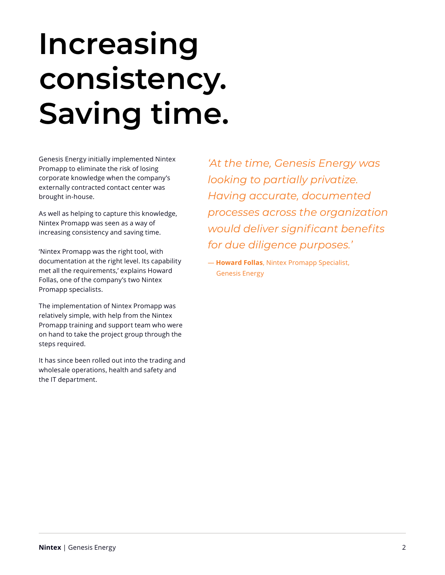# **Increasing consistency. Saving time.**

Genesis Energy initially implemented Nintex Promapp to eliminate the risk of losing corporate knowledge when the company's externally contracted contact center was brought in-house.

As well as helping to capture this knowledge, Nintex Promapp was seen as a way of increasing consistency and saving time.

'Nintex Promapp was the right tool, with documentation at the right level. Its capability met all the requirements,' explains Howard Follas, one of the company's two Nintex Promapp specialists.

The implementation of Nintex Promapp was relatively simple, with help from the Nintex Promapp training and support team who were on hand to take the project group through the steps required.

It has since been rolled out into the trading and wholesale operations, health and safety and the IT department.

*'At the time, Genesis Energy was looking to partially privatize. Having accurate, documented processes across the organization would deliver significant benefits for due diligence purposes.'*

— **Howard Follas**, Nintex Promapp Specialist, Genesis Energy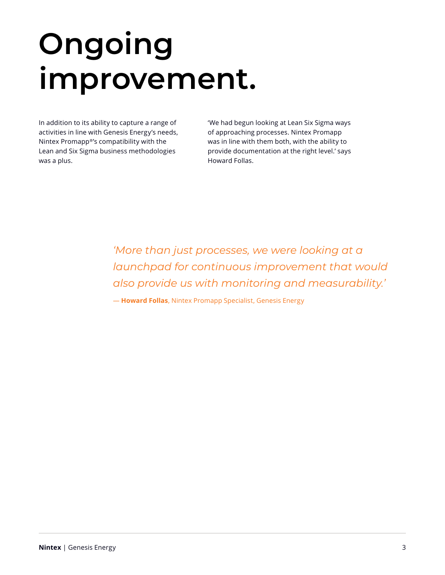# **Ongoing improvement.**

In addition to its ability to capture a range of activities in line with Genesis Energy's needs, Nintex Promapp®'s compatibility with the Lean and Six Sigma business methodologies was a plus.

'We had begun looking at Lean Six Sigma ways of approaching processes. Nintex Promapp was in line with them both, with the ability to provide documentation at the right level.' says Howard Follas.

*'More than just processes, we were looking at a launchpad for continuous improvement that would also provide us with monitoring and measurability.'*

— **Howard Follas**, Nintex Promapp Specialist, Genesis Energy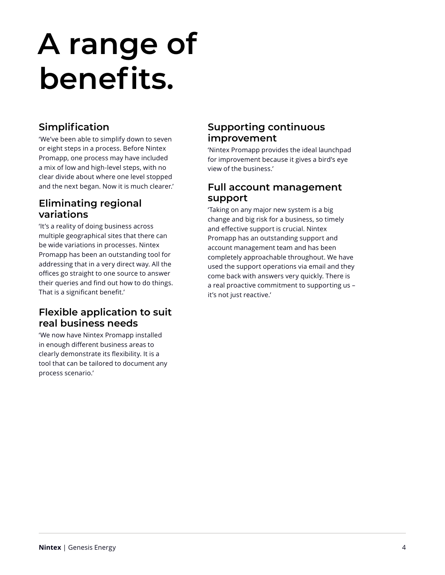### **A range of benefits.**

### **Simplification**

'We've been able to simplify down to seven or eight steps in a process. Before Nintex Promapp, one process may have included a mix of low and high-level steps, with no clear divide about where one level stopped and the next began. Now it is much clearer.'

### **Eliminating regional variations**

'It's a reality of doing business across multiple geographical sites that there can be wide variations in processes. Nintex Promapp has been an outstanding tool for addressing that in a very direct way. All the offices go straight to one source to answer their queries and find out how to do things. That is a significant benefit.'

### **Flexible application to suit real business needs**

'We now have Nintex Promapp installed in enough different business areas to clearly demonstrate its flexibility. It is a tool that can be tailored to document any process scenario.'

### **Supporting continuous improvement**

'Nintex Promapp provides the ideal launchpad for improvement because it gives a bird's eye view of the business.'

#### **Full account management support**

'Taking on any major new system is a big change and big risk for a business, so timely and effective support is crucial. Nintex Promapp has an outstanding support and account management team and has been completely approachable throughout. We have used the support operations via email and they come back with answers very quickly. There is a real proactive commitment to supporting us – it's not just reactive.'